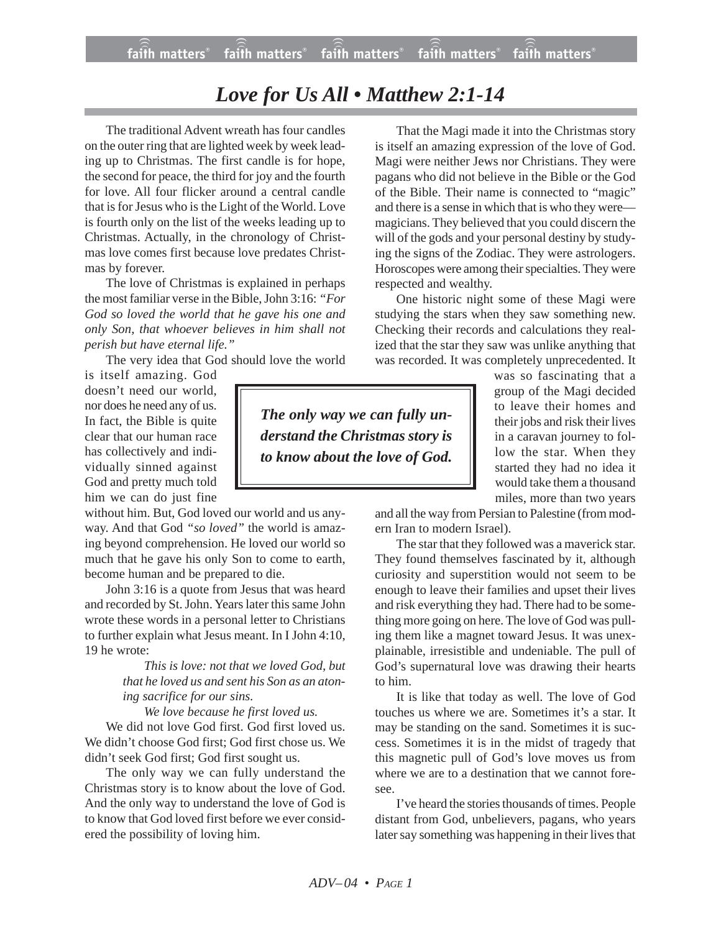## *Love for Us All • Matthew 2:1-14*

The traditional Advent wreath has four candles on the outer ring that are lighted week by week leading up to Christmas. The first candle is for hope, the second for peace, the third for joy and the fourth for love. All four flicker around a central candle that is for Jesus who is the Light of the World. Love is fourth only on the list of the weeks leading up to Christmas. Actually, in the chronology of Christmas love comes first because love predates Christmas by forever.

The love of Christmas is explained in perhaps the most familiar verse in the Bible, John 3:16: *"For God so loved the world that he gave his one and only Son, that whoever believes in him shall not perish but have eternal life."*

The very idea that God should love the world

is itself amazing. God doesn't need our world, nor does he need any of us. In fact, the Bible is quite clear that our human race has collectively and individually sinned against God and pretty much told him we can do just fine

without him. But, God loved our world and us anyway. And that God *"so loved"* the world is amazing beyond comprehension. He loved our world so much that he gave his only Son to come to earth, become human and be prepared to die.

John 3:16 is a quote from Jesus that was heard and recorded by St. John. Years later this same John wrote these words in a personal letter to Christians to further explain what Jesus meant. In I John 4:10, 19 he wrote:

> *This is love: not that we loved God, but that he loved us and sent his Son as an atoning sacrifice for our sins.*

*We love because he first loved us.*

We did not love God first. God first loved us. We didn't choose God first; God first chose us. We didn't seek God first; God first sought us.

The only way we can fully understand the Christmas story is to know about the love of God. And the only way to understand the love of God is to know that God loved first before we ever considered the possibility of loving him.

That the Magi made it into the Christmas story is itself an amazing expression of the love of God. Magi were neither Jews nor Christians. They were pagans who did not believe in the Bible or the God of the Bible. Their name is connected to "magic" and there is a sense in which that is who they were magicians. They believed that you could discern the will of the gods and your personal destiny by studying the signs of the Zodiac. They were astrologers. Horoscopes were among their specialties. They were respected and wealthy.

One historic night some of these Magi were studying the stars when they saw something new. Checking their records and calculations they realized that the star they saw was unlike anything that was recorded. It was completely unprecedented. It

*The only way we can fully understand the Christmas story is to know about the love of God.*

was so fascinating that a group of the Magi decided to leave their homes and their jobs and risk their lives in a caravan journey to follow the star. When they started they had no idea it would take them a thousand miles, more than two years

and all the way from Persian to Palestine (from modern Iran to modern Israel).

The star that they followed was a maverick star. They found themselves fascinated by it, although curiosity and superstition would not seem to be enough to leave their families and upset their lives and risk everything they had. There had to be something more going on here. The love of God was pulling them like a magnet toward Jesus. It was unexplainable, irresistible and undeniable. The pull of God's supernatural love was drawing their hearts to him.

It is like that today as well. The love of God touches us where we are. Sometimes it's a star. It may be standing on the sand. Sometimes it is success. Sometimes it is in the midst of tragedy that this magnetic pull of God's love moves us from where we are to a destination that we cannot foresee.

I've heard the stories thousands of times. People distant from God, unbelievers, pagans, who years later say something was happening in their lives that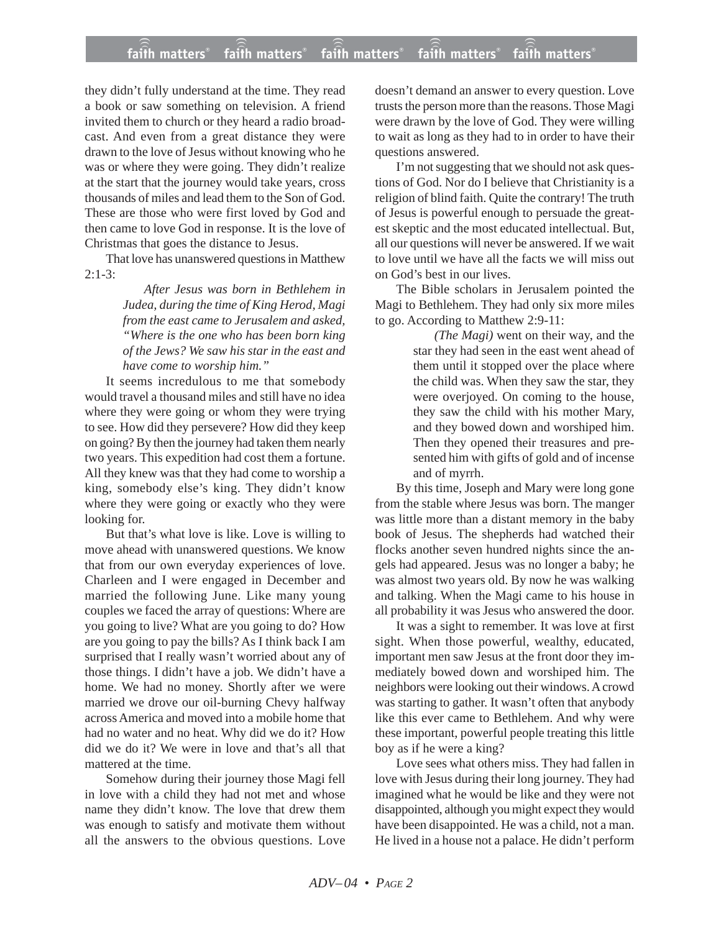they didn't fully understand at the time. They read a book or saw something on television. A friend invited them to church or they heard a radio broadcast. And even from a great distance they were drawn to the love of Jesus without knowing who he was or where they were going. They didn't realize at the start that the journey would take years, cross thousands of miles and lead them to the Son of God. These are those who were first loved by God and then came to love God in response. It is the love of Christmas that goes the distance to Jesus.

That love has unanswered questions in Matthew  $2:1-3:$ 

> *After Jesus was born in Bethlehem in Judea, during the time of King Herod, Magi from the east came to Jerusalem and asked, "Where is the one who has been born king of the Jews? We saw his star in the east and have come to worship him."*

It seems incredulous to me that somebody would travel a thousand miles and still have no idea where they were going or whom they were trying to see. How did they persevere? How did they keep on going? By then the journey had taken them nearly two years. This expedition had cost them a fortune. All they knew was that they had come to worship a king, somebody else's king. They didn't know where they were going or exactly who they were looking for.

But that's what love is like. Love is willing to move ahead with unanswered questions. We know that from our own everyday experiences of love. Charleen and I were engaged in December and married the following June. Like many young couples we faced the array of questions: Where are you going to live? What are you going to do? How are you going to pay the bills? As I think back I am surprised that I really wasn't worried about any of those things. I didn't have a job. We didn't have a home. We had no money. Shortly after we were married we drove our oil-burning Chevy halfway across America and moved into a mobile home that had no water and no heat. Why did we do it? How did we do it? We were in love and that's all that mattered at the time.

Somehow during their journey those Magi fell in love with a child they had not met and whose name they didn't know. The love that drew them was enough to satisfy and motivate them without all the answers to the obvious questions. Love doesn't demand an answer to every question. Love trusts the person more than the reasons. Those Magi were drawn by the love of God. They were willing to wait as long as they had to in order to have their questions answered.

I'm not suggesting that we should not ask questions of God. Nor do I believe that Christianity is a religion of blind faith. Quite the contrary! The truth of Jesus is powerful enough to persuade the greatest skeptic and the most educated intellectual. But, all our questions will never be answered. If we wait to love until we have all the facts we will miss out on God's best in our lives.

The Bible scholars in Jerusalem pointed the Magi to Bethlehem. They had only six more miles to go. According to Matthew 2:9-11:

*(The Magi)* went on their way, and the star they had seen in the east went ahead of them until it stopped over the place where the child was. When they saw the star, they were overjoyed. On coming to the house, they saw the child with his mother Mary, and they bowed down and worshiped him. Then they opened their treasures and presented him with gifts of gold and of incense and of myrrh.

By this time, Joseph and Mary were long gone from the stable where Jesus was born. The manger was little more than a distant memory in the baby book of Jesus. The shepherds had watched their flocks another seven hundred nights since the angels had appeared. Jesus was no longer a baby; he was almost two years old. By now he was walking and talking. When the Magi came to his house in all probability it was Jesus who answered the door.

It was a sight to remember. It was love at first sight. When those powerful, wealthy, educated, important men saw Jesus at the front door they immediately bowed down and worshiped him. The neighbors were looking out their windows. A crowd was starting to gather. It wasn't often that anybody like this ever came to Bethlehem. And why were these important, powerful people treating this little boy as if he were a king?

Love sees what others miss. They had fallen in love with Jesus during their long journey. They had imagined what he would be like and they were not disappointed, although you might expect they would have been disappointed. He was a child, not a man. He lived in a house not a palace. He didn't perform